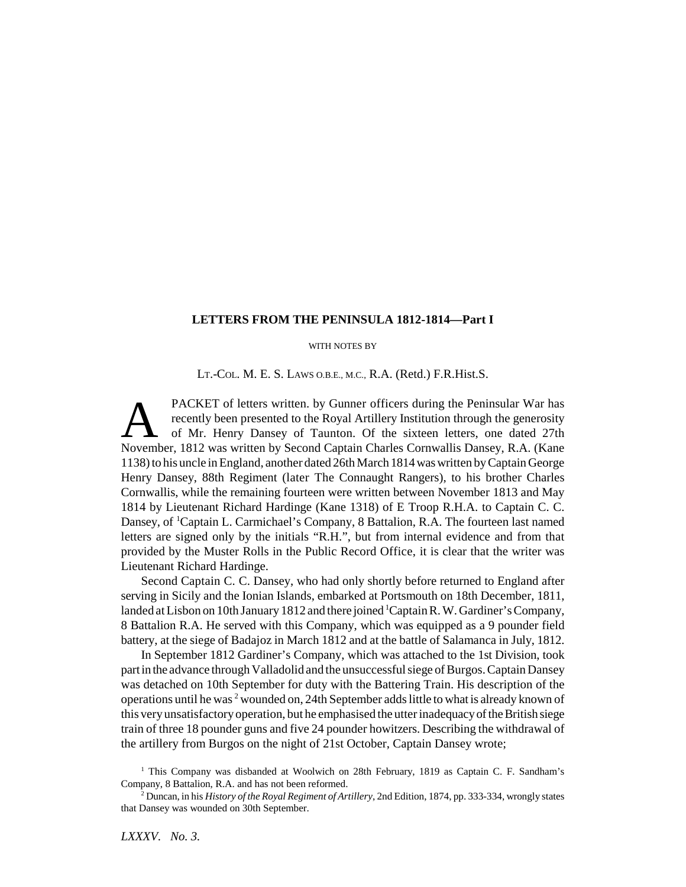## **LETTERS FROM THE PENINSULA 1812-1814—Part I**

### WITH NOTES BY

LT.-COL. M. E. S. LAWS O.B.E., M.C., R.A. (Retd.) F.R.Hist.S.

PACKET of letters written. by Gunner officers during the Peninsular War has<br>recently been presented to the Royal Artillery Institution through the generosity<br>of Mr. Henry Dansey of Taunton. Of the sixteen letters, one date recently been presented to the Royal Artillery Institution through the generosity of Mr. Henry Dansey of Taunton. Of the sixteen letters, one dated 27th November, 1812 was written by Second Captain Charles Cornwallis Dansey, R.A. (Kane 1138) to his uncle in England, another dated 26th March 1814 was written by Captain George Henry Dansey, 88th Regiment (later The Connaught Rangers), to his brother Charles Cornwallis, while the remaining fourteen were written between November 1813 and May 1814 by Lieutenant Richard Hardinge (Kane 1318) of E Troop R.H.A. to Captain C. C. Dansey, of <sup>1</sup>Captain L. Carmichael's Company, 8 Battalion, R.A. The fourteen last named letters are signed only by the initials "R.H.", but from internal evidence and from that provided by the Muster Rolls in the Public Record Office, it is clear that the writer was Lieutenant Richard Hardinge.

Second Captain C. C. Dansey, who had only shortly before returned to England after serving in Sicily and the Ionian Islands, embarked at Portsmouth on 18th December, 1811, landed at Lisbon on 10th January 1812 and there joined <sup>1</sup>Captain R.W. Gardiner's Company, 8 Battalion R.A. He served with this Company, which was equipped as a 9 pounder field battery, at the siege of Badajoz in March 1812 and at the battle of Salamanca in July, 1812.

In September 1812 Gardiner's Company, which was attached to the 1st Division, took part in the advance through Valladolid and the unsuccessful siege of Burgos. Captain Dansey was detached on 10th September for duty with the Battering Train. His description of the operations until he was<sup>2</sup> wounded on, 24th September adds little to what is already known of this very unsatisfactory operation, but he emphasised the utter inadequacy of the British siege train of three 18 pounder guns and five 24 pounder howitzers. Describing the withdrawal of the artillery from Burgos on the night of 21st October, Captain Dansey wrote;

<sup>&</sup>lt;sup>1</sup> This Company was disbanded at Woolwich on 28th February, 1819 as Captain C. F. Sandham's Company, 8 Battalion, R.A. and has not been reformed.

<sup>2</sup> Duncan, in his *History of the Royal Regiment of Artillery*, 2nd Edition, 1874, pp. 333-334, wrongly states that Dansey was wounded on 30th September.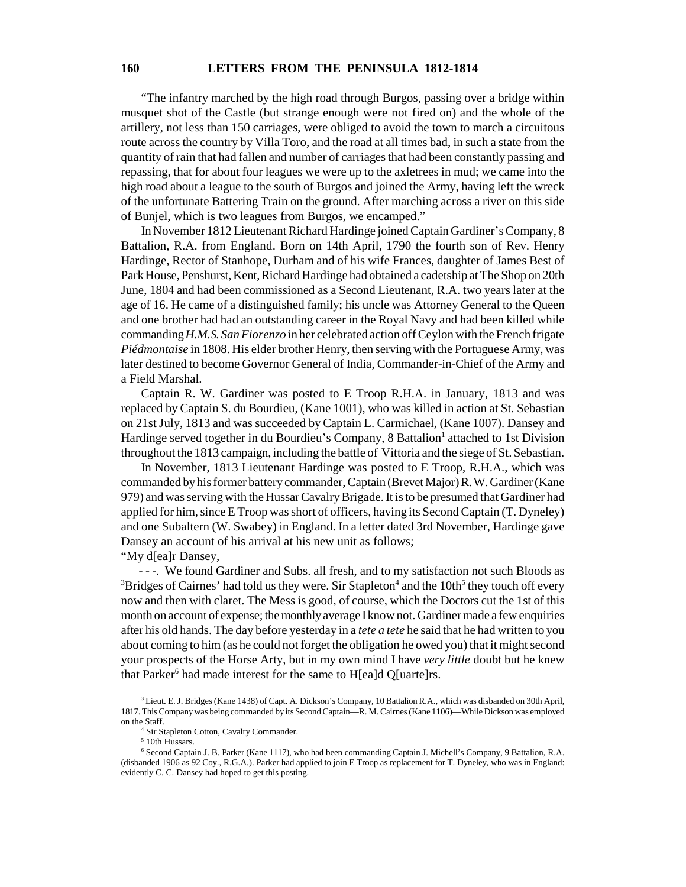## **160 LETTERS FROM THE PENINSULA 1812-1814**

"The infantry marched by the high road through Burgos, passing over a bridge within musquet shot of the Castle (but strange enough were not fired on) and the whole of the artillery, not less than 150 carriages, were obliged to avoid the town to march a circuitous route across the country by Villa Toro, and the road at all times bad, in such a state from the quantity of rain that had fallen and number of carriages that had been constantly passing and repassing, that for about four leagues we were up to the axletrees in mud; we came into the high road about a league to the south of Burgos and joined the Army, having left the wreck of the unfortunate Battering Train on the ground. After marching across a river on this side of Bunjel, which is two leagues from Burgos, we encamped."

In November 1812 Lieutenant Richard Hardinge joined Captain Gardiner's Company, 8 Battalion, R.A. from England. Born on 14th April, 1790 the fourth son of Rev. Henry Hardinge, Rector of Stanhope, Durham and of his wife Frances, daughter of James Best of Park House, Penshurst, Kent, Richard Hardinge had obtained a cadetship at The Shop on 20th June, 1804 and had been commissioned as a Second Lieutenant, R.A. two years later at the age of 16. He came of a distinguished family; his uncle was Attorney General to the Queen and one brother had had an outstanding career in the Royal Navy and had been killed while commanding *H.M.S. San Fiorenzo* in her celebrated action off Ceylon with the French frigate *Piédmontaise* in 1808. His elder brother Henry, then serving with the Portuguese Army, was later destined to become Governor General of India, Commander-in-Chief of the Army and a Field Marshal.

Captain R. W. Gardiner was posted to E Troop R.H.A. in January, 1813 and was replaced by Captain S. du Bourdieu, (Kane 1001), who was killed in action at St. Sebastian on 21st July, 1813 and was succeeded by Captain L. Carmichael, (Kane 1007). Dansey and Hardinge served together in du Bourdieu's Company, 8 Battalion<sup>1</sup> attached to 1st Division throughout the 1813 campaign, including the battle of Vittoria and the siege of St. Sebastian.

In November, 1813 Lieutenant Hardinge was posted to E Troop, R.H.A., which was commanded by his former battery commander, Captain (Brevet Major) R. W. Gardiner (Kane 979) and was serving with the Hussar Cavalry Brigade. It is to be presumed that Gardiner had applied for him, since E Troop was short of officers, having its Second Captain (T. Dyneley) and one Subaltern (W. Swabey) in England. In a letter dated 3rd November, Hardinge gave Dansey an account of his arrival at his new unit as follows;

"My d[ea]r Dansey,

 - - -. We found Gardiner and Subs. all fresh, and to my satisfaction not such Bloods as  $3$ Bridges of Cairnes' had told us they were. Sir Stapleton<sup>4</sup> and the  $10th<sup>5</sup>$  they touch off every now and then with claret. The Mess is good, of course, which the Doctors cut the 1st of this month on account of expense; the monthly average I know not. Gardiner made a few enquiries after his old hands. The day before yesterday in a *tete a tete* he said that he had written to you about coming to him (as he could not forget the obligation he owed you) that it might second your prospects of the Horse Arty, but in my own mind I have *very little* doubt but he knew that Parker<sup>6</sup> had made interest for the same to H[ea]d Q[uarte]rs.

5 10th Hussars.

<sup>&</sup>lt;sup>3</sup> Lieut. E. J. Bridges (Kane 1438) of Capt. A. Dickson's Company, 10 Battalion R.A., which was disbanded on 30th April, 1817. This Company was being commanded by its Second Captain—R. M. Cairnes (Kane 1106)—While Dickson was employed on the Staff.

<sup>4</sup> Sir Stapleton Cotton, Cavalry Commander.

<sup>6</sup> Second Captain J. B. Parker (Kane 1117), who had been commanding Captain J. Michell's Company, 9 Battalion, R.A. (disbanded 1906 as 92 Coy., R.G.A.). Parker had applied to join E Troop as replacement for T. Dyneley, who was in England: evidently C. C. Dansey had hoped to get this posting.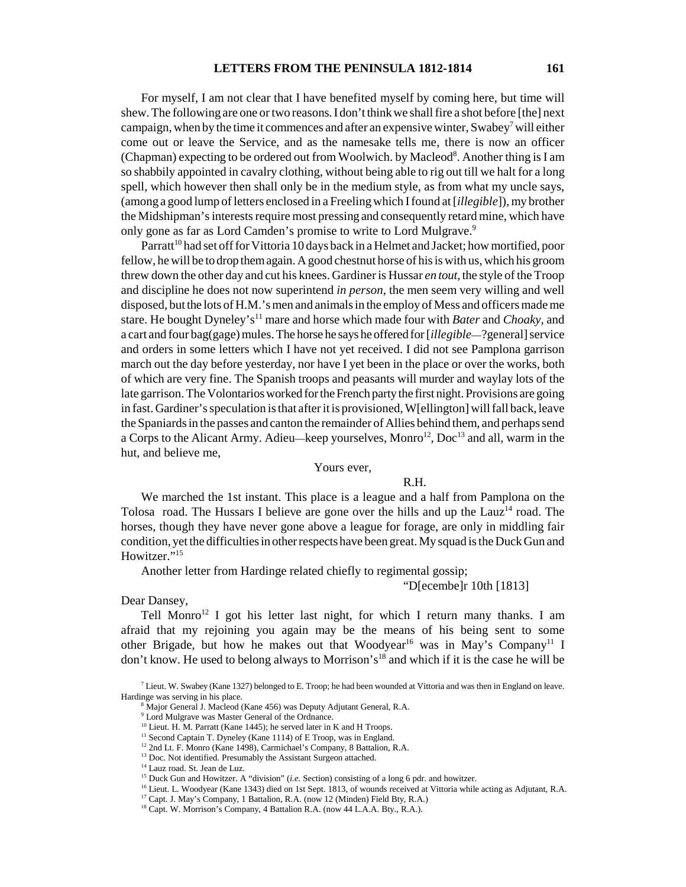For myself, I am not clear that I have benefited myself by coming here, but time will shew. The following are one or two reasons. I don't think we shall fire a shot before [the] next campaign, when by the time it commences and after an expensive winter, Swabey<sup>7</sup> will either come out or leave the Service, and as the namesake tells me, there is now an officer (Chapman) expecting to be ordered out from Woolwich. by Macleod<sup>8</sup>. Another thing is I am so shabbily appointed in cavalry clothing, without being able to rig out till we halt for a long spell, which however then shall only be in the medium style, as from what my uncle says, (among a good lump of letters enclosed in a Freeling which I found at [*illegible*]), my brother the Midshipman's interests require most pressing and consequently retard mine, which have only gone as far as Lord Camden's promise to write to Lord Mulgrave.<sup>9</sup>

Parratt<sup>10</sup> had set off for Vittoria 10 days back in a Helmet and Jacket; how mortified, poor fellow, he will be to drop them again. A good chestnut horse of his is with us, which his groom threw down the other day and cut his knees. Gardiner is Hussar *en tout*, the style of the Troop and discipline he does not now superintend *in person,* the men seem very willing and well disposed, but the lots of H.M.'s men and animals in the employ of Mess and officers made me stare. He bought Dyneley's11 mare and horse which made four with *Bater* and *Choaky*, and a cart and four bag(gage) mules. The horse he says he offered for [*illegible*—?general] service and orders in some letters which I have not yet received. I did not see Pamplona garrison march out the day before yesterday, nor have I yet been in the place or over the works, both of which are very fine. The Spanish troops and peasants will murder and waylay lots of the late garrison. The Volontarios worked for the French party the first night. Provisions are going in fast. Gardiner's speculation is that after it is provisioned, W[ellington] will fall back, leave the Spaniards in the passes and canton the remainder of Allies behind them, and perhaps send a Corps to the Alicant Army. Adieu—keep yourselves,  $Monro^{12}$ ,  $Doc^{13}$  and all, warm in the hut, and believe me,

### Yours ever,

## R.H.

We marched the 1st instant. This place is a league and a half from Pamplona on the Tolosa road. The Hussars I believe are gone over the hills and up the  $Lauz<sup>14</sup>$  road. The horses, though they have never gone above a league for forage, are only in middling fair condition, yet the difficulties in other respects have been great. My squad is the Duck Gun and Howitzer."<sup>15</sup>

Another letter from Hardinge related chiefly to regimental gossip;

#### "D[ecembe]r 10th [1813]

Dear Dansey,

Tell Monro<sup>12</sup> I got his letter last night, for which I return many thanks. I am afraid that my rejoining you again may be the means of his being sent to some other Brigade, but how he makes out that Woodyear<sup>16</sup> was in May's Company<sup>11</sup> I don't know. He used to belong always to Morrison's<sup>18</sup> and which if it is the case he will be

Lieut. W. Swabey (Kane 1327) belonged to E. Troop; he had been wounded at Vittoria and was then in England on leave. Hardinge was serving in his place.

<sup>&</sup>lt;sup>8</sup> Major General J. Macleod (Kane 456) was Deputy Adjutant General, R.A.

<sup>&</sup>lt;sup>9</sup> Lord Mulgrave was Master General of the Ordnance.

<sup>&</sup>lt;sup>10</sup> Lieut. H. M. Parratt (Kane 1445); he served later in K and H Troops.

<sup>&</sup>lt;sup>11</sup> Second Captain T. Dyneley (Kane 1114) of E Troop, was in England.

<sup>12 2</sup>nd Lt. F. Monro (Kane 1498), Carmichael's Company, 8 Battalion, R.A.

<sup>&</sup>lt;sup>13</sup> Doc. Not identified. Presumably the Assistant Surgeon attached.

<sup>14</sup> Lauz road. St. Jean de Luz.

<sup>&</sup>lt;sup>15</sup> Duck Gun and Howitzer. A "division" (*i.e.* Section) consisting of a long 6 pdr. and howitzer.

<sup>16</sup> Lieut. L. Woodyear (Kane 1343) died on 1st Sept. 1813, of wounds received at Vittoria while acting as Adjutant, R.A.

<sup>&</sup>lt;sup>17</sup> Capt. J. May's Company, 1 Battalion, R.A. (now 12 (Minden) Field Bty, R.A.)

<sup>&</sup>lt;sup>18</sup> Capt. W. Morrison's Company, 4 Battalion R.A. (now 44 L.A.A. Bty., R.A.).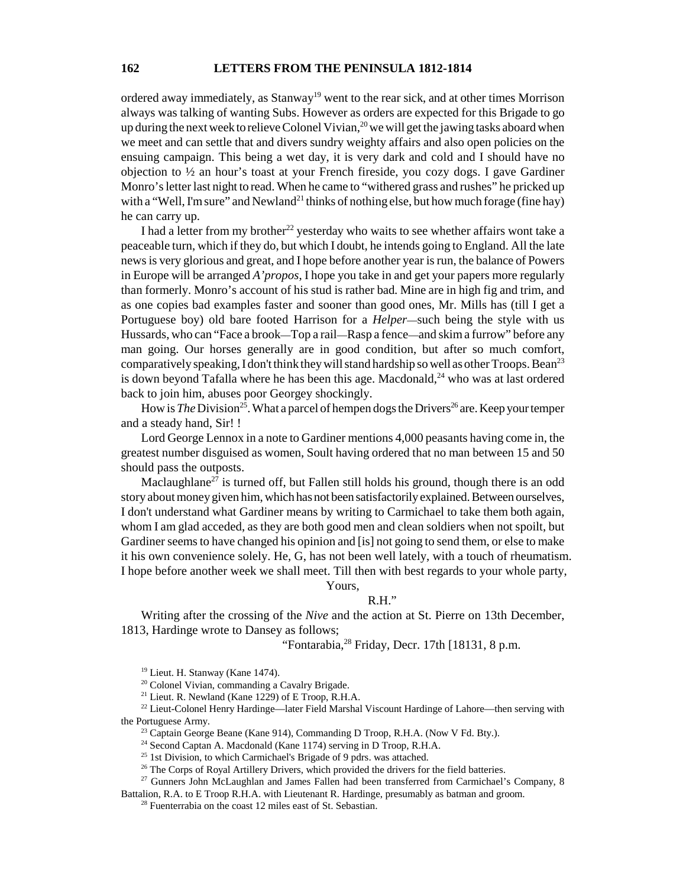ordered away immediately, as Stanway<sup>19</sup> went to the rear sick, and at other times Morrison always was talking of wanting Subs. However as orders are expected for this Brigade to go up during the next week to relieve Colonel Vivian,<sup>20</sup> we will get the jawing tasks aboard when we meet and can settle that and divers sundry weighty affairs and also open policies on the ensuing campaign. This being a wet day, it is very dark and cold and I should have no objection to ½ an hour's toast at your French fireside, you cozy dogs. I gave Gardiner Monro's letter last night to read. When he came to "withered grass and rushes" he pricked up with a "Well, I'm sure" and Newland<sup>21</sup> thinks of nothing else, but how much forage (fine hay) he can carry up.

I had a letter from my brother<sup>22</sup> yesterday who waits to see whether affairs wont take a peaceable turn, which if they do, but which I doubt, he intends going to England. All the late news is very glorious and great, and I hope before another year is run, the balance of Powers in Europe will be arranged *A'propos*, I hope you take in and get your papers more regularly than formerly. Monro's account of his stud is rather bad. Mine are in high fig and trim, and as one copies bad examples faster and sooner than good ones, Mr. Mills has (till I get a Portuguese boy) old bare footed Harrison for a *Helper*—such being the style with us Hussards, who can "Face a brook—Top a rail—Rasp a fence—and skim a furrow" before any man going. Our horses generally are in good condition, but after so much comfort, comparatively speaking, I don't think they will stand hardship so well as other Troops. Bean<sup>23</sup> is down beyond Tafalla where he has been this age. Macdonald, $^{24}$  who was at last ordered back to join him, abuses poor Georgey shockingly.

How is *The* Division<sup>25</sup>. What a parcel of hempen dogs the Drivers<sup>26</sup> are. Keep your temper and a steady hand, Sir! !

Lord George Lennox in a note to Gardiner mentions 4,000 peasants having come in, the greatest number disguised as women, Soult having ordered that no man between 15 and 50 should pass the outposts.

Maclaughlane<sup> $27$ </sup> is turned off, but Fallen still holds his ground, though there is an odd story about money given him, which has not been satisfactorily explained. Between ourselves, I don't understand what Gardiner means by writing to Carmichael to take them both again, whom I am glad acceded, as they are both good men and clean soldiers when not spoilt, but Gardiner seems to have changed his opinion and [is] not going to send them, or else to make it his own convenience solely. He, G, has not been well lately, with a touch of rheumatism. I hope before another week we shall meet. Till then with best regards to your whole party,

## Yours,

#### R.H."

Writing after the crossing of the *Nive* and the action at St. Pierre on 13th December, 1813, Hardinge wrote to Dansey as follows;

# "Fontarabia,<sup>28</sup> Friday, Decr. 17th [18131, 8 p.m.

19 Lieut. H. Stanway (Kane 1474).

20 Colonel Vivian, commanding a Cavalry Brigade.

21 Lieut. R. Newland (Kane 1229) of E Troop, R.H.A.

<sup>22</sup> Lieut-Colonel Henry Hardinge—later Field Marshal Viscount Hardinge of Lahore—then serving with the Portuguese Army.

<sup>23</sup> Captain George Beane (Kane 914), Commanding D Troop, R.H.A. (Now V Fd. Bty.).

24 Second Captan A. Macdonald (Kane 1174) serving in D Troop, R.H.A.

<sup>25</sup> 1st Division, to which Carmichael's Brigade of 9 pdrs. was attached.

<sup>26</sup> The Corps of Royal Artillery Drivers, which provided the drivers for the field batteries.

<sup>27</sup> Gunners John McLaughlan and James Fallen had been transferred from Carmichael's Company, 8

Battalion, R.A. to E Troop R.H.A. with Lieutenant R. Hardinge, presumably as batman and groom.

<sup>28</sup> Fuenterrabia on the coast 12 miles east of St. Sebastian.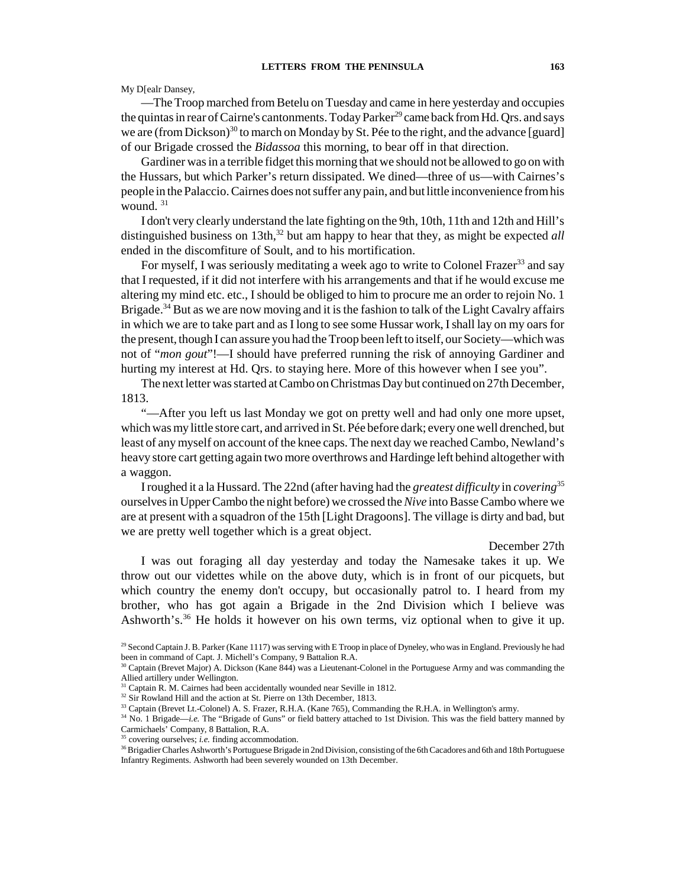My D[ealr Dansey,

—The Troop marched from Betelu on Tuesday and came in here yesterday and occupies the quintas in rear of Cairne's cantonments. Today Parker<sup>29</sup> came back from Hd. Qrs. and says we are (from Dickson)<sup>30</sup> to march on Monday by St. Pée to the right, and the advance [guard] of our Brigade crossed the *Bidassoa* this morning, to bear off in that direction.

Gardiner was in a terrible fidget this morning that we should not be allowed to go on with the Hussars, but which Parker's return dissipated. We dined—three of us—with Cairnes's people in the Palaccio. Cairnes does not suffer any pain, and but little inconvenience from his wound. 31

I don't very clearly understand the late fighting on the 9th, 10th, 11th and 12th and Hill's distinguished business on 13th,<sup>32</sup> but am happy to hear that they, as might be expected *all* ended in the discomfiture of Soult, and to his mortification.

For myself, I was seriously meditating a week ago to write to Colonel Frazer<sup>33</sup> and sav that I requested, if it did not interfere with his arrangements and that if he would excuse me altering my mind etc. etc., I should be obliged to him to procure me an order to rejoin No. 1 Brigade.<sup>34</sup> But as we are now moving and it is the fashion to talk of the Light Cavalry affairs in which we are to take part and as I long to see some Hussar work, I shall lay on my oars for the present, though I can assure you had the Troop been left to itself, our Society—which was not of "*mon gout*"!—I should have preferred running the risk of annoying Gardiner and hurting my interest at Hd. Qrs. to staying here. More of this however when I see you".

The next letter was started at Cambo on Christmas Day but continued on 27th December, 1813.

"—After you left us last Monday we got on pretty well and had only one more upset, which was my little store cart, and arrived in St. Pée before dark; every one well drenched, but least of any myself on account of the knee caps. The next day we reached Cambo, Newland's heavy store cart getting again two more overthrows and Hardinge left behind altogether with a waggon.

I roughed it a la Hussard. The 22nd (after having had the *greatest difficulty* in *covering*<sup>35</sup> ourselves in Upper Cambo the night before) we crossed the *Nive* into Basse Cambo where we are at present with a squadron of the 15th [Light Dragoons]. The village is dirty and bad, but we are pretty well together which is a great object.

December 27th

I was out foraging all day yesterday and today the Namesake takes it up. We throw out our videttes while on the above duty, which is in front of our picquets, but which country the enemy don't occupy, but occasionally patrol to. I heard from my brother, who has got again a Brigade in the 2nd Division which I believe was Ashworth's.<sup>36</sup> He holds it however on his own terms, viz optional when to give it up.

<sup>&</sup>lt;sup>29</sup> Second Captain J. B. Parker (Kane 1117) was serving with E Troop in place of Dyneley, who was in England. Previously he had been in command of Capt. J. Michell's Company, 9 Battalion R.A.

 $30$  Captain (Brevet Major) A. Dickson (Kane 844) was a Lieutenant-Colonel in the Portuguese Army and was commanding the Allied artillery under Wellington.

<sup>31</sup> Captain R. M. Cairnes had been accidentally wounded near Seville in 1812.

<sup>&</sup>lt;sup>32</sup> Sir Rowland Hill and the action at St. Pierre on 13th December, 1813.

<sup>33</sup> Captain (Brevet Lt.-Colonel) A. S. Frazer, R.H.A. (Kane 765), Commanding the R.H.A. in Wellington's army.

<sup>34</sup> No. 1 Brigade—*i.e.* The "Brigade of Guns" or field battery attached to 1st Division. This was the field battery manned by Carmichaels' Company, 8 Battalion, R.A.

<sup>35</sup> covering ourselves; *i.e.* finding accommodation.

<sup>&</sup>lt;sup>36</sup> Brigadier Charles Ashworth's Portuguese Brigade in 2nd Division, consisting of the 6th Cacadores and 6th and 18th Portuguese Infantry Regiments. Ashworth had been severely wounded on 13th December.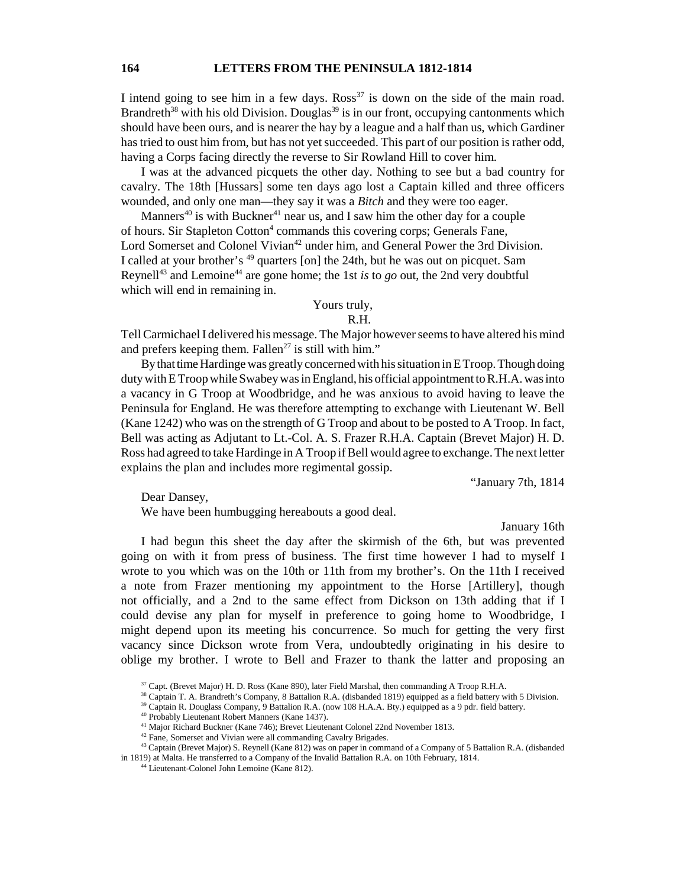I intend going to see him in a few days. Ross<sup>37</sup> is down on the side of the main road. Brandreth<sup>38</sup> with his old Division. Douglas<sup>39</sup> is in our front, occupying cantonments which should have been ours, and is nearer the hay by a league and a half than us, which Gardiner has tried to oust him from, but has not yet succeeded. This part of our position is rather odd, having a Corps facing directly the reverse to Sir Rowland Hill to cover him.

I was at the advanced picquets the other day. Nothing to see but a bad country for cavalry. The 18th [Hussars] some ten days ago lost a Captain killed and three officers wounded, and only one man—they say it was a *Bitch* and they were too eager.

Manners<sup>40</sup> is with Buckner<sup>41</sup> near us, and I saw him the other day for a couple of hours. Sir Stapleton Cotton<sup>4</sup> commands this covering corps; Generals Fane, Lord Somerset and Colonel Vivian<sup>42</sup> under him, and General Power the 3rd Division. I called at your brother's 49 quarters [on] the 24th, but he was out on picquet. Sam Reynell<sup>43</sup> and Lemoine<sup>44</sup> are gone home; the 1st *is* to *go* out, the 2nd very doubtful which will end in remaining in.

Yours truly,

#### R.H.

Tell Carmichael I delivered his message. The Major however seems to have altered his mind and prefers keeping them. Fallen<sup>27</sup> is still with him."

By that time Hardinge was greatly concerned with his situation in E Troop. Though doing duty with E Troop while Swabey was in England, his official appointment to R.H.A. was into a vacancy in G Troop at Woodbridge, and he was anxious to avoid having to leave the Peninsula for England. He was therefore attempting to exchange with Lieutenant W. Bell (Kane 1242) who was on the strength of G Troop and about to be posted to A Troop. In fact, Bell was acting as Adjutant to Lt.-Col. A. S. Frazer R.H.A. Captain (Brevet Major) H. D. Ross had agreed to take Hardinge in A Troop if Bell would agree to exchange. The next letter explains the plan and includes more regimental gossip.

"January 7th, 1814

Dear Dansey,

We have been humbugging hereabouts a good deal.

January 16th

I had begun this sheet the day after the skirmish of the 6th, but was prevented going on with it from press of business. The first time however I had to myself I wrote to you which was on the 10th or 11th from my brother's. On the 11th I received a note from Frazer mentioning my appointment to the Horse [Artillery], though not officially, and a 2nd to the same effect from Dickson on 13th adding that if I could devise any plan for myself in preference to going home to Woodbridge, I might depend upon its meeting his concurrence. So much for getting the very first vacancy since Dickson wrote from Vera, undoubtedly originating in his desire to oblige my brother. I wrote to Bell and Frazer to thank the latter and proposing an

<sup>38</sup> Captain T. A. Brandreth's Company, 8 Battalion R.A. (disbanded 1819) equipped as a field battery with 5 Division.

<sup>39</sup> Captain R. Douglass Company, 9 Battalion R.A. (now 108 H.A.A. Bty.) equipped as a 9 pdr. field battery.

41 Major Richard Buckner (Kane 746); Brevet Lieutenant Colonel 22nd November 1813.

<sup>42</sup> Fane, Somerset and Vivian were all commanding Cavalry Brigades.

44 Lieutenant-Colonel John Lemoine (Kane 812).

 $37$  Capt. (Brevet Major) H. D. Ross (Kane 890), later Field Marshal, then commanding A Troop R.H.A.

<sup>40</sup> Probably Lieutenant Robert Manners (Kane 1437).

<sup>43</sup> Captain (Brevet Major) S. Reynell (Kane 812) was on paper in command of a Company of 5 Battalion R.A. (disbanded in 1819) at Malta. He transferred to a Company of the Invalid Battalion R.A. on 10th February, 1814.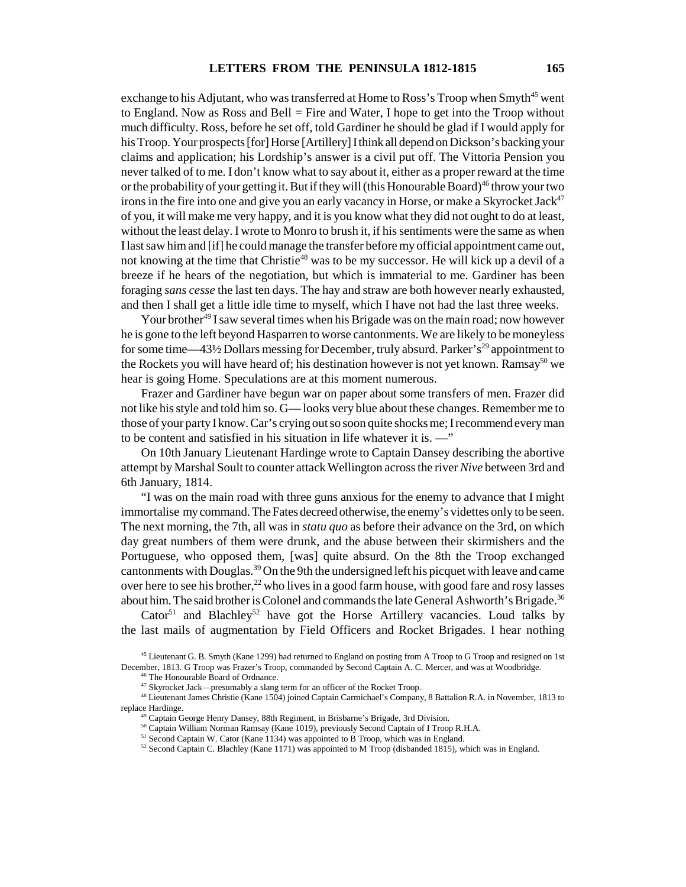exchange to his Adjutant, who was transferred at Home to Ross's Troop when Smyth<sup>45</sup> went to England. Now as Ross and Bell = Fire and Water, I hope to get into the Troop without much difficulty. Ross, before he set off, told Gardiner he should be glad if I would apply for his Troop. Your prospects [for] Horse [Artillery] I think all depend on Dickson's backing your claims and application; his Lordship's answer is a civil put off. The Vittoria Pension you never talked of to me. I don't know what to say about it, either as a proper reward at the time or the probability of your getting it. But if they will (this Honourable Board)<sup>46</sup> throw your two irons in the fire into one and give you an early vacancy in Horse, or make a Skyrocket Jack $47$ of you, it will make me very happy, and it is you know what they did not ought to do at least, without the least delay. I wrote to Monro to brush it, if his sentiments were the same as when I last saw him and [if] he could manage the transfer before my official appointment came out, not knowing at the time that Christie<sup>48</sup> was to be my successor. He will kick up a devil of a breeze if he hears of the negotiation, but which is immaterial to me. Gardiner has been foraging *sans cesse* the last ten days. The hay and straw are both however nearly exhausted, and then I shall get a little idle time to myself, which I have not had the last three weeks.

Your brother<sup>49</sup> I saw several times when his Brigade was on the main road; now however he is gone to the left beyond Hasparren to worse cantonments. We are likely to be moneyless for some time—43½ Dollars messing for December, truly absurd. Parker's<sup>29</sup> appointment to the Rockets you will have heard of; his destination however is not yet known. Ramsay<sup>50</sup> we hear is going Home. Speculations are at this moment numerous.

Frazer and Gardiner have begun war on paper about some transfers of men. Frazer did not like his style and told him so. G— looks very blue about these changes. Remember me to those of your party I know. Car's crying out so soon quite shocks me; I recommend every man to be content and satisfied in his situation in life whatever it is. —"

On 10th January Lieutenant Hardinge wrote to Captain Dansey describing the abortive attempt by Marshal Soult to counter attack Wellington across the river *Nive* between 3rd and 6th January, 1814.

"I was on the main road with three guns anxious for the enemy to advance that I might immortalise my command. The Fates decreed otherwise, the enemy's videttes only to be seen. The next morning, the 7th, all was in *statu quo* as before their advance on the 3rd, on which day great numbers of them were drunk, and the abuse between their skirmishers and the Portuguese, who opposed them, [was] quite absurd. On the 8th the Troop exchanged cantonments with Douglas.<sup>39</sup> On the 9th the undersigned left his picquet with leave and came over here to see his brother, $^{22}$  who lives in a good farm house, with good fare and rosy lasses about him. The said brother is Colonel and commands the late General Ashworth's Brigade.<sup>36</sup>

Cator<sup>51</sup> and Blachley<sup>52</sup> have got the Horse Artillery vacancies. Loud talks by the last mails of augmentation by Field Officers and Rocket Brigades. I hear nothing

<sup>45</sup> Lieutenant G. B. Smyth (Kane 1299) had returned to England on posting from A Troop to G Troop and resigned on 1st December, 1813. G Troop was Frazer's Troop, commanded by Second Captain A. C. Mercer, and was at Woodbridge.

49 Captain George Henry Dansey, 88th Regiment, in Brisbarne's Brigade, 3rd Division.

50 Captain William Norman Ramsay (Kane 1019), previously Second Captain of I Troop R.H.A.

<sup>46</sup> The Honourable Board of Ordnance.

<sup>47</sup> Skyrocket Jack—presumably a slang term for an officer of the Rocket Troop.

<sup>48</sup> Lieutenant James Christie (Kane 1504) joined Captain Carmichael's Company, 8 Battalion R.A. in November, 1813 to replace Hardinge.

<sup>&</sup>lt;sup>51</sup> Second Captain W. Cator (Kane 1134) was appointed to B Troop, which was in England.

 $52$  Second Captain C. Blachley (Kane 1171) was appointed to M Troop (disbanded 1815), which was in England.